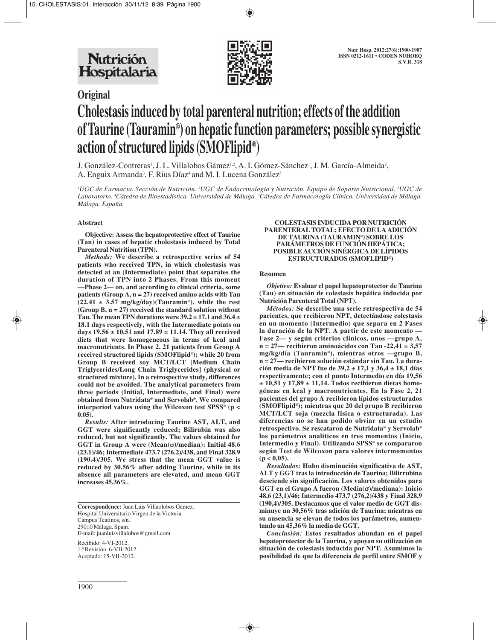

# **Original**

# **Cholestasis induced by total parenteral nutrition; effects of the addition of Taurine (Tauramin®) on hepatic function parameters; possible synergistic action of structured lipids (SMOFlipid®)**

J. González-Contreras<sup>1</sup>, J. L. Villalobos Gámez<sup>1,2</sup>, A. I. Gómez-Sánchez<sup>1</sup>, J. M. García-Almeida<sup>2</sup>, A. Enguix Armanda<sup>3</sup>, F. Rius Díaz<sup>4</sup> and M. I. Lucena González<sup>5</sup>

 $^{\prime}$ UGC de Farmacia. Sección de Nutrición. <sup>2</sup>UGC de Endocrinología y Nutrición. Equipo de Soporte Nutricional. <sup>3</sup>UGC de Laboratorio. <sup>4</sup>Cátedra de Bioestadística. Universidad de Málaga. <sup>s</sup>Cátedra de Farmacología Clínica. Universidad de Málaga. *Málaga. España.*

# **Abstract**

**Objective: Assess the hepatoprotective effect of Taurine (Tau) in cases of hepatic cholestasis induced by Total Parenteral Nutrition (TPN).** 

*Methods:* **We describe a retrospective series of 54 patients who received TPN, in which cholestasis was detected at an (Intermediate) point that separates the duration of TPN into 2 Phases. From this moment —Phase 2— on, and according to clinical criteria, some patients (Group A, n = 27) received amino acids with Tau (22.41 ± 3.57 mg/kg/day)(Tauramin®), while the rest (Group B, n = 27) received the standard solution without Tau. The mean TPN durations were 39.2 ± 17.1 and 36.4 ± 18.1 days respectively, with the Intermediate points on days 19.56 ± 10.51 and 17.89 ± 11.14. They all received diets that were homogeneous in terms of kcal and macronutrients. In Phase 2, 21 patients from Group A received structured lipids (SMOFlipid®); while 20 from Group B received soy MCT/LCT [Medium Chain Triglycerides/Long Chain Triglycerides] (physical or structured mixture). In a retrospective study, differences could not be avoided. The analytical parameters from three periods (Initial, Intermediate, and Final) were obtained from Nutridata® and Servolab®. We compared interperiod values using the Wilcoxon test SPSS® (p < 0.05).** 

*Results:* **After introducing Taurine AST, ALT, and GGT were significantly reduced; Bilirubin was also reduced, but not significantly. The values obtained for GGT in Group A were (Mean(**σ**)/median): Initial 48.6 (23.1)/46; Intermediate 473.7 (276.2)/438, and Final 328.9 (190.4)/305. We stress that the mean GGT value is reduced by 30.56% after adding Taurine, while in its absence all parameters are elevated, and mean GGT increases 45.36%.** 

Recibido: 4-VI-2012. 1.ª Revisión: 6-VII-2012. Aceptado: 15-VII-2012.

#### **COLESTASIS INDUCIDA POR NUTRICIÓN PARENTERAL TOTAL; EFECTO DE LA ADICIÓN DE TAURINA (TAURAMIN®) SOBRE LOS PARÁMETROS DE FUNCIÓN HEPÁTICA; POSIBLE ACCIÓN SINÉRGICA DE LÍPIDOS ESTRUCTURADOS (SMOFLIPID®)**

### **Resumen**

*Objetivo:* **Evaluar el papel hepatoprotector de Taurina (Tau) en situación de colestasis hepática inducida por Nutrición Parenteral Total (NPT).** 

*Métodos:* **Se describe una serie retrospectiva de 54 pacientes, que recibieron NPT, detectándose colestasis en un momento (Intermedio) que separa en 2 Fases la duración de la NPT. A partir de este momento — Fase 2— y según criterios clínicos, unos —grupo A, n = 27— recibieron aminoácidos con Tau -22,41 ± 3,57 mg/kg/día (Tauramin®), mientras otros —grupo B, n = 27— recibieron solución estándar sin Tau. La duración media de NPT fue de 39,2 ± 17,1 y 36,4 ± 18,1 días respectivamente; con el punto Intermedio en día 19,56 ± 10,51 y 17,89 ± 11,14. Todos recibieron dietas homogéneas en kcal y macronutrientes. En la Fase 2, 21 pacientes del grupo A recibieron lípidos estructurados (SMOFlipid®); mientras que 20 del grupo B recibieron MCT/LCT soja (mezcla física o estructurada). Las diferencias no se han podido obviar en un estudio retrospectivo. Se rescataron de Nutridata® y Servolab® los parámetros analíticos en tres momentos (Inicio, Intermedio y Final). Utilizando SPSS® se compararon según Test de Wilcoxon para valores intermomentos**   $(p < 0.05)$ .

*Resultados:* **Hubo disminución significativa de AST, ALT y GGT tras la introducción de Taurina; Bilirrubina desciende sin significación. Los valores obtenidos para GGT en el Grupo A fueron (Media(**σ**)/mediana): Inicio 48,6 (23,1)/46; Intermedio 473,7 (276,2)/438 y Final 328,9 (190,4)/305. Destacamos que el valor medio de GGT disminuye un 30,56% tras adición de Taurina; mientras en su ausencia se elevan de todos los parámetros, aumentando un 45,36% la media de GGT.** 

*Conclusión:* **Estos resultados abundan en el papel hepatoprotector de la Taurina, y apoyan su utilización en situación de colestasis inducida por NPT. Asumimos la posibilidad de que la diferencia de perfil entre SMOF y**

**Correspondence:** Juan Luis Villaolobos Gámez. Hospital Universitario Virgen de la Victoria. Campus Teatinos, s/n. 29010 Málaga. Spain. E-mail: juanluisvillalobos@gmail.com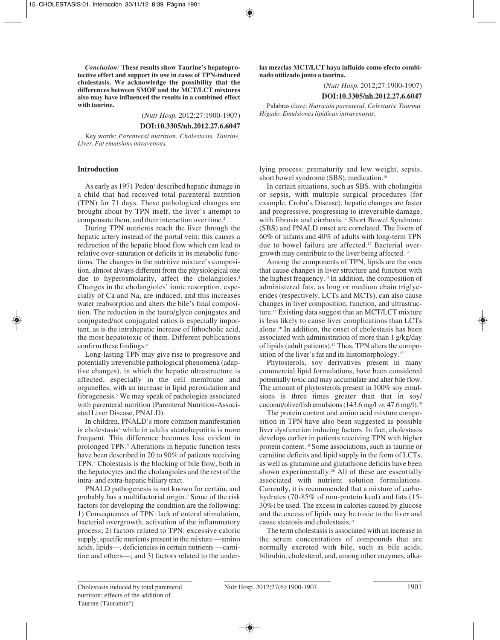*Conclusion:* **These results show Taurine's hepatoprotective effect and support its use in cases of TPN-induced cholestasis. We acknowledge the possibility that the differences between SMOF and the MCT/LCT mixtures also may have influenced the results in a combined effect with taurine.**

(*Nutr Hosp.* 2012;27:1900-1907)

**DOI:10.3305/nh.2012.27.6.6047**

Key words: *Parenteral nutrition. Cholestasis. Taurine. Liver. Fat emulsions intravenous.*

#### **Introduction**

As early as 1971 Peden<sup>1</sup> described hepatic damage in a child that had received total parenteral nutrition (TPN) for 71 days. These pathological changes are brought about by TPN itself, the liver's attempt to compensate them, and their interaction over time.<sup>2</sup>

During TPN nutrients reach the liver through the hepatic artery instead of the portal vein; this causes a redirection of the hepatic blood flow which can lead to relative over-saturation or deficits in its metabolic functions. The changes in the nutritive mixture's composition, almost always different from the physiological one due to hyperosmolarity, affect the cholangioles.<sup>3</sup> Changes in the cholangioles' ionic resorption, especially of Ca and Na, are induced, and this increases water reabsorption and alters the bile's final composition. The reduction in the tauro/glyco conjugates and conjugated/not conjugated ratios is especially important, as is the intrahepatic increase of lithocholic acid, the most hepatotoxic of them. Different publications confirm these findings.4

Long-lasting TPN may give rise to progressive and potentially irreversible pathological phenomena (adaptive changes), in which the hepatic ultrastructure is affected, especially in the cell membrane and organelles, with an increase in lipid peroxidation and fibrogenesis.5 We may speak of pathologies associated with parenteral nutrition (Parenteral Nutrition-Associated Liver Disease, PNALD).

In children, PNALD's more common manifestation is cholestasis<sup>6</sup> while in adults steatohepatitis is more frequent. This difference becomes less evident in prolonged TPN.7 Alterations in hepatic function tests have been described in 20 to 90% of patients receiving TPN.<sup>8</sup> Cholestasis is the blocking of bile flow, both in the hepatocytes and the cholangioles and the rest of the intra- and extra-hepatic biliary tract.

PNALD pathogenesis is not known for certain, and probably has a multifactorial origin.<sup>9</sup> Some of the risk factors for developing the condition are the following: 1) Consequences of TPN: lack of enteral stimulation, bacterial overgrowth, activation of the inflammatory process; 2) factors related to TPN: excessive caloric supply, specific nutrients present in the mixture —amino acids, lipids—, deficiencies in certain nutrients —carnitine and others—; and 3) factors related to the under**las mezclas MCT/LCT haya influido como efecto combinado utilizado junto a taurina.** 

(*Nutr Hosp.* 2012;27:1900-1907)

#### **DOI:10.3305/nh.2012.27.6.6047**

Palabras clave: *Nutrición parenteral. Colestasis. Taurina. Hígado. Emulsiones lipídicas intravenosas.*

lying process: prematurity and low weight, sepsis, short bowel syndrome (SBS), medication.<sup>10</sup>

In certain situations, such as SBS, with cholangitis or sepsis, with multiple surgical procedures (for example, Crohn's Disease), hepatic changes are faster and progressive, progressing to irreversible damage, with fibrosis and cirrhosis.<sup>11</sup> Short Bowel Syndrome (SBS) and PNALD onset are correlated. The livers of 60% of infants and 40% of adults with long-term TPN due to bowel failure are affected.12 Bacterial overgrowth may contribute to the liver being affected.13

Among the components of TPN, lipids are the ones that cause changes in liver structure and function with the highest frequency.14 In addition, the composition of administered fats, as long or medium chain triglycerides (respectively, LCTs and MCTs), can also cause changes in liver composition, function, and ultrastructure.15 Existing data suggest that an MCT/LCT mixture is less likely to cause liver complications than LCTs alone.16 In addition, the onset of cholestasis has been associated with administration of more than 1 g/kg/day of lipids (adult patients).12 Thus, TPN alters the composition of the liver's fat and its histomorphology.<sup>17</sup>

Phytosterols, soy derivatives present in many commercial lipid formulations, have been considered potentially toxic and may accumulate and alter bile flow. The amount of phytosterols present in 100% soy emulsions is three times greater than that in soy/ coconut/olive/fish emulsions (143.6 mg/l *vs.* 47.6 mg/l).18

The protein content and amino acid mixture composition in TPN have also been suggested as possible liver dysfunction inducing factors. In fact, cholestasis develops earlier in patients receiving TPN with higher protein content.19 Some associations, such as taurine or carnitine deficits and lipid supply in the form of LCTs, as well as glutamine and glutathione deficits have been shown experimentally.20 All of these are essentially associated with nutrient solution formulations. Currently, it is recommended that a mixture of carbohydrates (70-85% of non-protein kcal) and fats (15- 30%) be used. The excess in calories caused by glucose and the excess of lipids may be toxic to the liver and cause steatosis and cholestasis.21

The term cholestasis is associated with an increase in the serum concentrations of compounds that are normally excreted with bile, such as bile acids, bilirubin, cholesterol, and, among other enzymes, alka-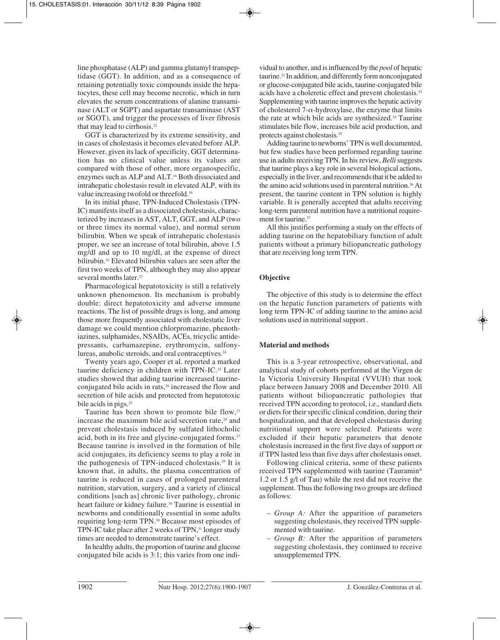line phosphatase (ALP) and gamma glutamyl transpeptidase (GGT). In addition, and as a consequence of retaining potentially toxic compounds inside the hepatocytes, these cell may become necrotic, which in turn elevates the serum concentrations of alanine transaminase (ALT or SGPT) and aspartate transaminase (AST or SGOT), and trigger the processes of liver fibrosis that may lead to cirrhosis.<sup>22</sup>

GGT is characterized by its extreme sensitivity, and in cases of cholestasis it becomes elevated before ALP. However, given its lack of specificity, GGT determination has no clinical value unless its values are compared with those of other, more organospecific, enzymes such as ALP and ALT.16 Both dissociated and intrahepatic cholestasis result in elevated ALP, with its value increasing twofold or threefold.16

In its initial phase, TPN-Induced Cholestasis (TPN-IC) manifests itself as a dissociated cholestasis, characterized by increases in AST, ALT, GGT, and ALP (two or three times its normal value), and normal serum bilirubin. When we speak of intrahepatic cholestasis proper, we see an increase of total bilirubin, above 1.5 mg/dl and up to 10 mg/dl, at the expense of direct bilirubin.16 Elevated bilirubin values are seen after the first two weeks of TPN, although they may also appear several months later.<sup>23</sup>

Pharmacological hepatotoxicity is still a relatively unknown phenomenon. Its mechanism is probably double: direct hepatotoxicity and adverse immune reactions. The list of possible drugs is long, and among those more frequently associated with cholestatic liver damage we could mention chlorpromazine, phenothiazines, sulphamides, NSAIDs, ACEs, tricyclic antidepressants, carbamazepine, erythromycin, sulfonylureas, anabolic steroids, and oral contraceptives.<sup>24</sup>

Twenty years ago, Cooper et al. reported a marked taurine deficiency in children with TPN-IC.<sup>25</sup> Later studies showed that adding taurine increased taurineconjugated bile acids in rats,<sup>26</sup> increased the flow and secretion of bile acids and protected from hepatotoxic bile acids in pigs.<sup>25</sup>

Taurine has been shown to promote bile flow, $27$ increase the maximum bile acid secretion rate,<sup>28</sup> and prevent cholestasis induced by sulfated lithocholic acid, both in its free and glycine-conjugated forms.<sup>27</sup> Because taurine is involved in the formation of bile acid conjugates, its deficiency seems to play a role in the pathogenesis of TPN-induced cholestasis.29 It is known that, in adults, the plasma concentration of taurine is reduced in cases of prolonged parenteral nutrition, starvation, surgery, and a variety of clinical conditions [such as] chronic liver pathology, chronic heart failure or kidney failure.<sup>30</sup> Taurine is essential in newborns and conditionally essential in some adults requiring long-term TPN.30 Because most episodes of TPN-IC take place after 2 weeks of TPN,<sup>31</sup> longer study times are needed to demonstrate taurine's effect.

In healthy adults, the proportion of taurine and glucose conjugated bile acids is 3:1; this varies from one individual to another, and is influenced by the *pool* of hepatic taurine.32 In addition, and differently form nonconjugated or glucose-conjugated bile acids, taurine-conjugated bile acids have a choleretic effect and prevent cholestasis.33 Supplementing with taurine improves the hepatic activity of cholesterol 7-α-hydroxylase, the enzyme that limits the rate at which bile acids are synthesized.34 Taurine stimulates bile flow, increases bile acid production, and protects against cholestasis.35

Adding taurine to newborns' TPN is well documented, but few studies have been performed regarding taurine use in adults receiving TPN. In his review, *Belli*suggests that taurine plays a key role in several biological actions, especially in the liver, and recommends that it be added to the amino acid solutions used in parenteral nutrition.<sup>36</sup> At present, the taurine content in TPN solution is highly variable. It is generally accepted that adults receiving long-term parenteral nutrition have a nutritional requirement for taurine.<sup>37</sup>

All this justifies performing a study on the effects of adding taurine on the hepatobiliary function of adult patients without a primary biliopancreatic pathology that are receiving long term TPN.

# **Objective**

The objective of this study is to determine the effect on the hepatic function parameters of patients with long term TPN-IC of adding taurine to the amino acid solutions used in nutritional support .

# **Material and methods**

This is a 3-year retrospective, observational, and analytical study of cohorts performed at the Virgen de la Victoria University Hospital (VVUH) that took place between January 2008 and December 2010. All patients without biliopancreatic pathologies that received TPN according to protocol, i.e., standard diets or diets for their specific clinical condition, during their hospitalization, and that developed cholestasis during nutritional support were selected. Patients were excluded if their hepatic parameters that denote cholestasis increased in the first five days of support or if TPN lasted less than five days after cholestasis onset.

Following clinical criteria, some of these patients received TPN supplemented with taurine (Tauramin® 1.2 or 1.5 g/l of Tau) while the rest did not receive the supplement. Thus the following two groups are defined as follows:

- *Group A:* After the apparition of parameters suggesting cholestasis, they received TPN supplemented with taurine.
- *Group B:* After the apparition of parameters suggesting cholestasis, they continued to receive unsupplemented TPN.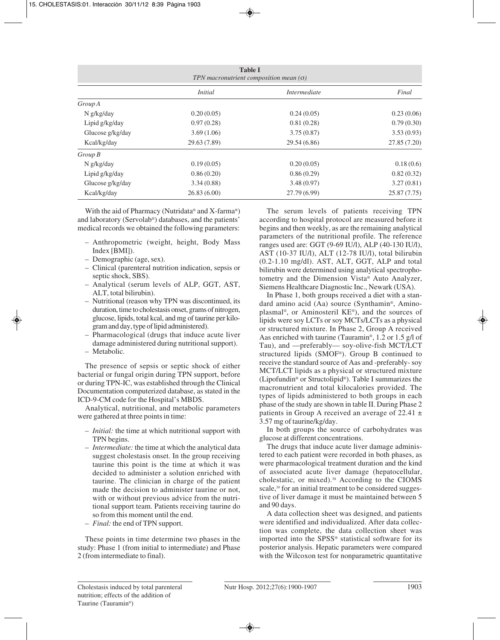| <b>Table I</b><br>TPN macronutrient composition mean $(\sigma)$ |                |                     |             |  |  |  |
|-----------------------------------------------------------------|----------------|---------------------|-------------|--|--|--|
|                                                                 | <i>Initial</i> | <i>Intermediate</i> | Final       |  |  |  |
| Group A                                                         |                |                     |             |  |  |  |
| N g/kg/day                                                      | 0.20(0.05)     | 0.24(0.05)          | 0.23(0.06)  |  |  |  |
| Lipid g/kg/day                                                  | 0.97(0.28)     | 0.81(0.28)          | 0.79(0.30)  |  |  |  |
| Glucose g/kg/day                                                | 3.69(1.06)     | 3.75(0.87)          | 3.53(0.93)  |  |  |  |
| Kcal/kg/day                                                     | 29.63 (7.89)   | 29.54 (6.86)        | 27.85(7.20) |  |  |  |
| $Group\,B$                                                      |                |                     |             |  |  |  |
| N g/kg/day                                                      | 0.19(0.05)     | 0.20(0.05)          | 0.18(0.6)   |  |  |  |
| Lipid g/kg/day                                                  | 0.86(0.20)     | 0.86(0.29)          | 0.82(0.32)  |  |  |  |
| Glucose g/kg/day                                                | 3.34(0.88)     | 3.48(0.97)          | 3.27(0.81)  |  |  |  |
| Kcal/kg/day                                                     | 26.83(6.00)    | 27.79(6.99)         | 25.87(7.75) |  |  |  |

With the aid of Pharmacy (Nutridata® and X-farma®) and laboratory (Servolab®) databases, and the patients' medical records we obtained the following parameters:

- Anthropometric (weight, height, Body Mass Index [BMI]).
- Demographic (age, sex).
- Clinical (parenteral nutrition indication, sepsis or septic shock, SBS).
- Analytical (serum levels of ALP, GGT, AST, ALT, total bilirubin).
- Nutritional (reason why TPN was discontinued, its duration, time to cholestasis onset, grams of nitrogen, glucose, lipids, total kcal, and mg of taurine per kilogram and day, type of lipid administered).
- Pharmacological (drugs that induce acute liver damage administered during nutritional support).
- Metabolic.

The presence of sepsis or septic shock of either bacterial or fungal origin during TPN support, before or during TPN-IC, was established through the Clinical Documentation computerized database, as stated in the ICD-9-CM code for the Hospital's MBDS.

Analytical, nutritional, and metabolic parameters were gathered at three points in time:

- *Initial:* the time at which nutritional support with TPN begins.
- *Intermediate:* the time at which the analytical data suggest cholestasis onset. In the group receiving taurine this point is the time at which it was decided to administer a solution enriched with taurine. The clinician in charge of the patient made the decision to administer taurine or not, with or without previous advice from the nutritional support team. Patients receiving taurine do so from this moment until the end.
- *Final:* the end of TPN support.

These points in time determine two phases in the study: Phase 1 (from initial to intermediate) and Phase 2 (from intermediate to final).

The serum levels of patients receiving TPN according to hospital protocol are measured before it begins and then weekly, as are the remaining analytical parameters of the nutritional profile. The reference ranges used are: GGT (9-69 IU/l), ALP (40-130 IU/l), AST (10-37 IU/l), ALT (12-78 IU/l), total bilirubin (0.2-1.10 mg/dl). AST, ALT, GGT, ALP and total bilirubin were determined using analytical spectrophotometry and the Dimension Vista® Auto Analyzer, Siemens Healthcare Diagnostic Inc., Newark (USA).

In Phase 1, both groups received a diet with a standard amino acid (Aa) source (Synthamin®, Aminoplasmal®, or Aminosteril KE®), and the sources of lipids were soy LCTs or soy MCTs/LCTs as a physical or structured mixture. In Phase 2, Group A received Aas enriched with taurine (Tauramin®, 1.2 or 1.5 g/l of Tau), and —preferably— soy-olive-fish MCT/LCT structured lipids (SMOF®). Group B continued to receive the standard source of Aas and -preferably- soy MCT/LCT lipids as a physical or structured mixture (Lipofundin® or Structolipid®). Table I summarizes the macronutrient and total kilocalories provided. The types of lipids administered to both groups in each phase of the study are shown in table II. During Phase 2 patients in Group A received an average of  $22.41 \pm$ 3.57 mg of taurine/kg/day.

In both groups the source of carbohydrates was glucose at different concentrations.

The drugs that induce acute liver damage administered to each patient were recorded in both phases, as were pharmacological treatment duration and the kind of associated acute liver damage (hepatocellular, cholestatic, or mixed).38 According to the CIOMS scale,<sup>39</sup> for an initial treatment to be considered suggestive of liver damage it must be maintained between 5 and 90 days.

A data collection sheet was designed, and patients were identified and individualized. After data collection was complete, the data collection sheet was imported into the SPSS® statistical software for its posterior analysis. Hepatic parameters were compared with the Wilcoxon test for nonparametric quantitative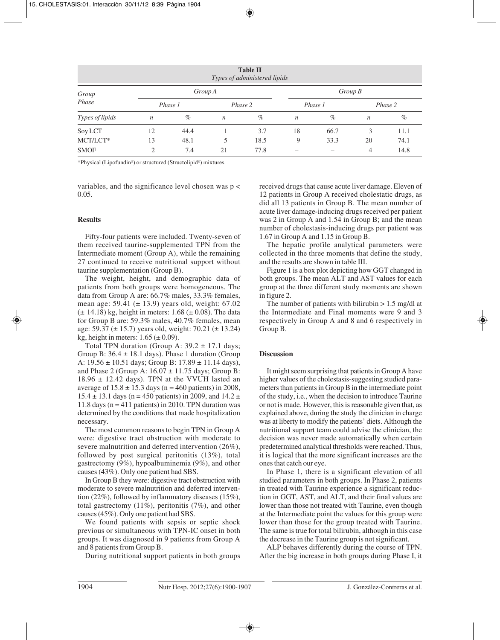| <b>Table II</b><br>Types of administered lipids |                  |         |                  |         |                  |      |                  |      |  |
|-------------------------------------------------|------------------|---------|------------------|---------|------------------|------|------------------|------|--|
| Group<br>Phase                                  | Group A          |         |                  |         | Group B          |      |                  |      |  |
|                                                 |                  | Phase 1 |                  | Phase 2 | Phase 1          |      | Phase 2          |      |  |
| Types of lipids                                 | $\boldsymbol{n}$ | $\%$    | $\boldsymbol{n}$ | $\%$    | $\boldsymbol{n}$ | $\%$ | $\boldsymbol{n}$ | $\%$ |  |
| Soy LCT                                         | 12               | 44.4    |                  | 3.7     | 18               | 66.7 | 3                | 11.1 |  |
| MCT/LCT*                                        | 13               | 48.1    | 5                | 18.5    | 9                | 33.3 | 20               | 74.1 |  |
| <b>SMOF</b>                                     | 2                | 7.4     | 21               | 77.8    | –                |      | 4                | 14.8 |  |

\*Physical (Lipofundin®) or structured (Structolipid®) mixtures.

variables, and the significance level chosen was p < 0.05.

# **Results**

Fifty-four patients were included. Twenty-seven of them received taurine-supplemented TPN from the Intermediate moment (Group A), while the remaining 27 continued to receive nutritional support without taurine supplementation (Group B).

The weight, height, and demographic data of patients from both groups were homogeneous. The data from Group A are: 66.7% males, 33.3% females, mean age:  $59.41$  ( $\pm$  13.9) years old, weight: 67.02  $(\pm 14.18)$  kg, height in meters: 1.68  $(\pm 0.08)$ . The data for Group B are: 59.3% males, 40.7% females, mean age: 59.37 ( $\pm$  15.7) years old, weight: 70.21 ( $\pm$  13.24) kg, height in meters:  $1.65 \ (\pm 0.09)$ .

Total TPN duration (Group A:  $39.2 \pm 17.1$  days; Group B:  $36.4 \pm 18.1$  days). Phase 1 duration (Group A:  $19.56 \pm 10.51$  days; Group B:  $17.89 \pm 11.14$  days), and Phase 2 (Group A:  $16.07 \pm 11.75$  days; Group B:  $18.96 \pm 12.42$  days). TPN at the VVUH lasted an average of  $15.8 \pm 15.3$  days (n = 460 patients) in 2008,  $15.4 \pm 13.1$  days (n = 450 patients) in 2009, and  $14.2 \pm 13.1$ 11.8 days ( $n = 411$  patients) in 2010. TPN duration was determined by the conditions that made hospitalization necessary.

The most common reasons to begin TPN in Group A were: digestive tract obstruction with moderate to severe malnutrition and deferred intervention (26%), followed by post surgical peritonitis (13%), total gastrectomy (9%), hypoalbuminemia (9%), and other causes (43%). Only one patient had SBS.

In Group B they were: digestive tract obstruction with moderate to severe malnutrition and deferred intervention (22%), followed by inflammatory diseases (15%), total gastrectomy (11%), peritonitis (7%), and other causes (45%). Only one patient had SBS.

We found patients with sepsis or septic shock previous or simultaneous with TPN-IC onset in both groups. It was diagnosed in 9 patients from Group A and 8 patients from Group B.

During nutritional support patients in both groups

received drugs that cause acute liver damage. Eleven of 12 patients in Group A received cholestatic drugs, as did all 13 patients in Group B. The mean number of acute liver damage-inducing drugs received per patient was 2 in Group A and 1.54 in Group B; and the mean number of cholestasis-inducing drugs per patient was 1.67 in Group A and 1.15 in Group B.

The hepatic profile analytical parameters were collected in the three moments that define the study, and the results are shown in table III.

Figure 1 is a box plot depicting how GGT changed in both groups. The mean ALT and AST values for each group at the three different study moments are shown in figure 2.

The number of patients with bilirubin  $> 1.5$  mg/dl at the Intermediate and Final moments were 9 and 3 respectively in Group A and 8 and 6 respectively in Group B.

# **Discussion**

It might seem surprising that patients in Group A have higher values of the cholestasis-suggesting studied parameters than patients in Group B in the intermediate point of the study, i.e., when the decision to introduce Taurine or not is made. However, this is reasonable given that, as explained above, during the study the clinician in charge was at liberty to modify the patients' diets. Although the nutritional support team could advise the clinician, the decision was never made automatically when certain predetermined analytical thresholds were reached. Thus, it is logical that the more significant increases are the ones that catch our eye.

In Phase 1, there is a significant elevation of all studied parameters in both groups. In Phase 2, patients in treated with Taurine experience a significant reduction in GGT, AST, and ALT, and their final values are lower than those not treated with Taurine, even though at the Intermediate point the values for this group were lower than those for the group treated with Taurine. The same is true for total bilirubin, although in this case the decrease in the Taurine group is not significant.

ALP behaves differently during the course of TPN. After the big increase in both groups during Phase I, it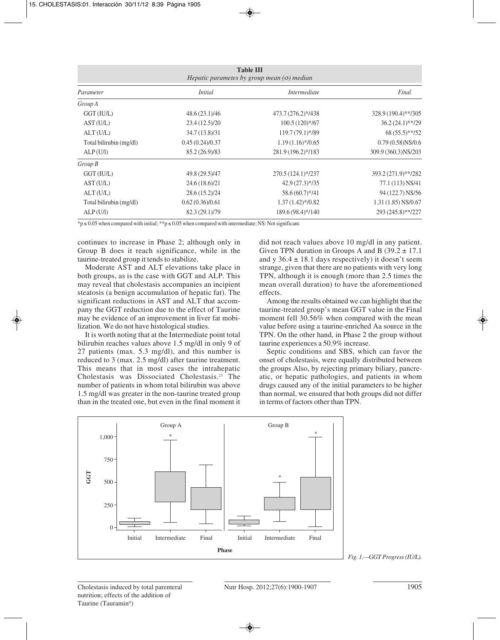| <b>Table III</b><br>Hepatic parametes by group mean $(\sigma)$ median |                 |                    |                      |  |  |  |
|-----------------------------------------------------------------------|-----------------|--------------------|----------------------|--|--|--|
| Parameter                                                             | <i>Initial</i>  | Intermediate       | Final                |  |  |  |
| Group A                                                               |                 |                    |                      |  |  |  |
| GGT (IU/L)                                                            | 48.6 (23.1)/46  | 473.7 (276.2)*/438 | 328.9 (190.4)**/305  |  |  |  |
| AST(U/L)                                                              | 23.4(12.5)/20   | $100.5(120)*/67$   | $36.2(24.1)$ **/29   |  |  |  |
| ALT(U/L)                                                              | 34.7 (13.8)/31  | 119.7 (79.1)*/89   | $68(55.5)$ **/52     |  |  |  |
| Total bilirubin (mg/dl)                                               | 0.45(0.24)/0.37 | $1.19(1.16)*/0.65$ | $0.79(0.58)$ NS/0.6  |  |  |  |
| ALP(U/I)                                                              | 85.2 (26.9)/83  | 281.9 (196.2)*/183 | 309.9 (360.3) NS/203 |  |  |  |
| $Group\,B$                                                            |                 |                    |                      |  |  |  |
| GGT (IU/L)                                                            | 49.8 (29.5)/47  | 270.5 (124.1)*/237 | 393.2 (271.9)**/282  |  |  |  |
| AST(U/L)                                                              | 24.6 (18.6)/21  | $42.9(27.3)*735$   | 77.1 (113) NS/41     |  |  |  |
| ALT(U/L)                                                              | 28.6 (15.2)/24  | 58.6 (60.7)*/41    | 94 (122.7) NS/56     |  |  |  |
| Total bilirubin (mg/dl)                                               | 0.62(0.36)/0.61 | $1.37(1.42)*/0.82$ | $1.31(1.85)$ NS/0.67 |  |  |  |
| ALP(U/I)                                                              | 82.3 (29.1)/79  | 189.6 (98.4)*/140  | 293 (245.8)**/227    |  |  |  |

\*p ≤ 0.05 when compared with initial; \*\*p ≤ 0.05 when compared with intermediate; NS: Not significant.

continues to increase in Phase 2; although only in Group B does it reach significance, while in the taurine-treated group it tends to stabilize.

Moderate AST and ALT elevations take place in both groups, as is the case with GGT and ALP. This may reveal that cholestasis accompanies an incipient steatosis (a benign accumulation of hepatic fat). The significant reductions in AST and ALT that accompany the GGT reduction due to the effect of Taurine may be evidence of an improvement in liver fat mobilization. We do not have histological studies.

It is worth noting that at the Intermediate point total bilirubin reaches values above 1.5 mg/dl in only 9 of 27 patients (max. 5.3 mg/dl), and this number is reduced to 3 (max. 2.5 mg/dl) after taurine treatment. This means that in most cases the intrahepatic Cholestasis was Dissociated Cholestasis.23 The number of patients in whom total bilirubin was above 1.5 mg/dl was greater in the non-taurine treated group than in the treated one, but even in the final moment it did not reach values above 10 mg/dl in any patient. Given TPN duration in Groups A and B  $(39.2 \pm 17.1)$ and y  $36.4 \pm 18.1$  days respectively) it doesn't seem strange, given that there are no patients with very long TPN, although it is enough (more than 2.5 times the mean overall duration) to have the aforementioned effects.

Among the results obtained we can highlight that the taurine-treated group's mean GGT value in the Final moment fell 30.56% when compared with the mean value before using a taurine-enriched Aa source in the TPN. On the other hand, in Phase 2 the group without taurine experiences a 50.9% increase.

Septic conditions and SBS, which can favor the onset of cholestasis, were equally distributed between the groups Also, by rejecting primary biliary, pancreatic, or hepatic pathologies, and patients in whom drugs caused any of the initial parameters to be higher than normal, we ensured that both groups did not differ in terms of factors other than TPN.



*Fig. 1.—GGT Progress (IU/L).*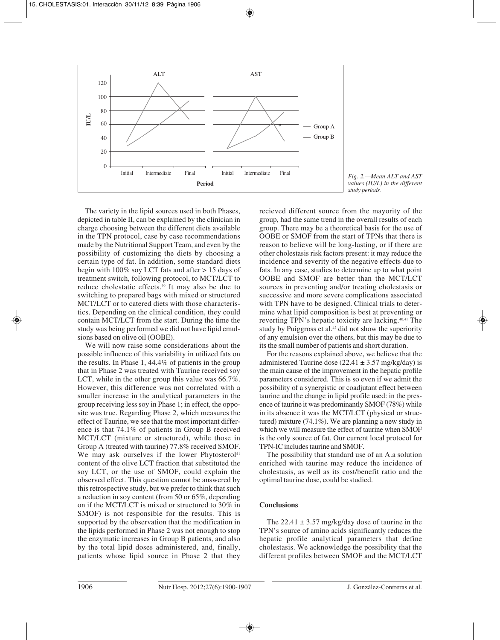

*Fig. 2.—Mean ALT and AST values (IU/L) in the different study periods.*

The variety in the lipid sources used in both Phases, depicted in table II, can be explained by the clinician in charge choosing between the different diets available in the TPN protocol, case by case recommendations made by the Nutritional Support Team, and even by the possibility of customizing the diets by choosing a certain type of fat. In addition, some standard diets begin with 100% soy LCT fats and after > 15 days of treatment switch, following protocol, to MCT/LCT to reduce cholestatic effects.40 It may also be due to switching to prepared bags with mixed or structured MCT/LCT or to catered diets with those characteristics. Depending on the clinical condition, they could contain MCT/LCT from the start. During the time the study was being performed we did not have lipid emulsions based on olive oil (OOBE).

We will now raise some considerations about the possible influence of this variability in utilized fats on the results. In Phase 1, 44.4% of patients in the group that in Phase 2 was treated with Taurine received soy LCT, while in the other group this value was 66.7%. However, this difference was not correlated with a smaller increase in the analytical parameters in the group receiving less soy in Phase 1; in effect, the opposite was true. Regarding Phase 2, which measures the effect of Taurine, we see that the most important difference is that 74.1% of patients in Group B received MCT/LCT (mixture or structured), while those in Group A (treated with taurine) 77.8% received SMOF. We may ask ourselves if the lower Phytosterol<sup>41</sup> content of the olive LCT fraction that substituted the soy LCT, or the use of SMOF, could explain the observed effect. This question cannot be answered by this retrospective study, but we prefer to think that such a reduction in soy content (from 50 or 65%, depending on if the MCT/LCT is mixed or structured to 30% in SMOF) is not responsible for the results. This is supported by the observation that the modification in the lipids performed in Phase 2 was not enough to stop the enzymatic increases in Group B patients, and also by the total lipid doses administered, and, finally, patients whose lipid source in Phase 2 that they

recieved different source from the mayority of the group, had the same trend in the overall results of each group. There may be a theoretical basis for the use of OOBE or SMOF from the start of TPNs that there is reason to believe will be long-lasting, or if there are other cholestasis risk factors present: it may reduce the incidence and severity of the negative effects due to fats. In any case, studies to determine up to what point OOBE and SMOF are better than the MCT/LCT sources in preventing and/or treating cholestasis or successive and more severe complications associated with TPN have to be designed. Clinical trials to determine what lipid composition is best at preventing or reverting TPN's hepatic toxicity are lacking.40,41 The study by Puiggross et al. $42$  did not show the superiority of any emulsion over the others, but this may be due to its the small number of patients and short duration.

For the reasons explained above, we believe that the administered Taurine dose (22.41  $\pm$  3.57 mg/kg/day) is the main cause of the improvement in the hepatic profile parameters considered. This is so even if we admit the possibility of a synergistic or coadjutant effect between taurine and the change in lipid profile used: in the presence of taurine it was predominantly SMOF (78%) while in its absence it was the MCT/LCT (physical or structured) mixture (74.1%). We are planning a new study in which we will measure the effect of taurine when SMOF is the only source of fat. Our current local protocol for TPN-IC includes taurine and SMOF.

The possibility that standard use of an A.a solution enriched with taurine may reduce the incidence of cholestasis, as well as its cost/benefit ratio and the optimal taurine dose, could be studied.

# **Conclusions**

The  $22.41 \pm 3.57$  mg/kg/day dose of taurine in the TPN's source of amino acids significantly reduces the hepatic profile analytical parameters that define cholestasis. We acknowledge the possibility that the different profiles between SMOF and the MCT/LCT